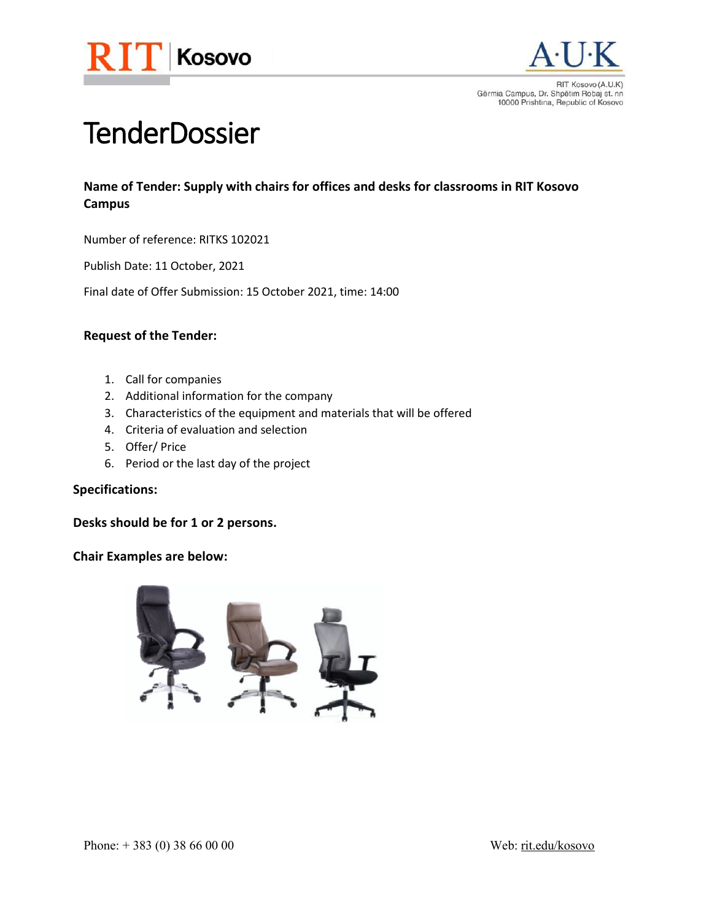



Gërmia Campus, Dr. Shpëtim Robaj st. nn 10000 Prishtina, Republic of Kosovo

# **TenderDossier**

## **Name of Tender: Supply with chairs for offices and desks for classrooms in RIT Kosovo Campus**

Number of reference: RITKS 102021

Publish Date: 11 October, 2021

Final date of Offer Submission: 15 October 2021, time: 14:00

## **Request of the Tender:**

- 1. Call for companies
- 2. Additional information for the company
- 3. Characteristics of the equipment and materials that will be offered
- 4. Criteria of evaluation and selection
- 5. Offer/ Price
- 6. Period or the last day of the project

#### **Specifications:**

**Desks should be for 1 or 2 persons.**

## **Chair Examples are below:**

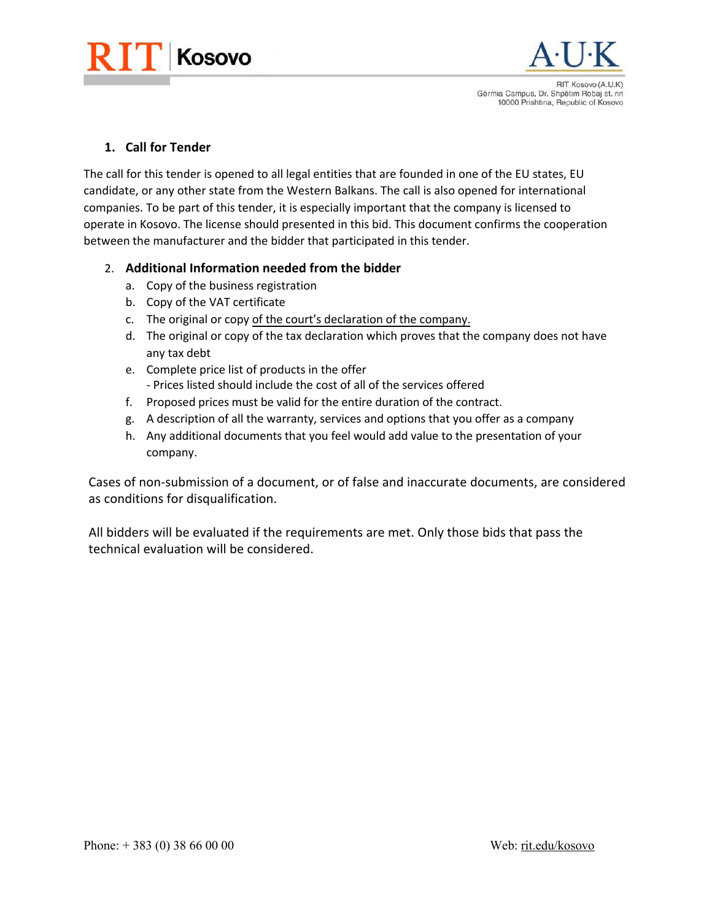



**1. Call for Tender**

The call for this tender is opened to all legal entities that are founded in one of the EU states, EU candidate, or any other state from the Western Balkans. The call is also opened for international companies. To be part of this tender, it is especially important that the company is licensed to operate in Kosovo. The license should presented in this bid. This document confirms the cooperation between the manufacturer and the bidder that participated in this tender.

## 2. **Additional Information needed from the bidder**

- a. Copy of the business registration
- b. Copy of the VAT certificate
- c. The original or copy of the court's declaration of the company.
- d. The original or copy of the tax declaration which proves that the company does not have any tax debt
- e. Complete price list of products in the offer - Prices listed should include the cost of all of the services offered
- f. Proposed prices must be valid for the entire duration of the contract.
- g. A description of all the warranty, services and options that you offer as a company
- h. Any additional documents that you feel would add value to the presentation of your company.

Cases of non-submission of a document, or of false and inaccurate documents, are considered as conditions for disqualification.

All bidders will be evaluated if the requirements are met. Only those bids that pass the technical evaluation will be considered.